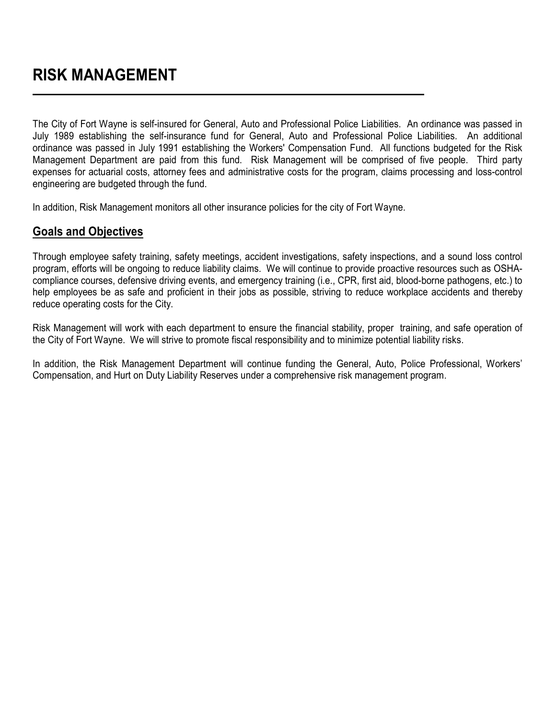The City of Fort Wayne is self-insured for General, Auto and Professional Police Liabilities. An ordinance was passed in July 1989 establishing the self-insurance fund for General, Auto and Professional Police Liabilities. An additional ordinance was passed in July 1991 establishing the Workers' Compensation Fund. All functions budgeted for the Risk Management Department are paid from this fund. Risk Management will be comprised of five people. Third party expenses for actuarial costs, attorney fees and administrative costs for the program, claims processing and loss-control engineering are budgeted through the fund.

In addition, Risk Management monitors all other insurance policies for the city of Fort Wayne.

## **Goals and Objectives**

Through employee safety training, safety meetings, accident investigations, safety inspections, and a sound loss control program, efforts will be ongoing to reduce liability claims. We will continue to provide proactive resources such as OSHAcompliance courses, defensive driving events, and emergency training (i.e., CPR, first aid, blood-borne pathogens, etc.) to help employees be as safe and proficient in their jobs as possible, striving to reduce workplace accidents and thereby reduce operating costs for the City.

Risk Management will work with each department to ensure the financial stability, proper training, and safe operation of the City of Fort Wayne. We will strive to promote fiscal responsibility and to minimize potential liability risks.

In addition, the Risk Management Department will continue funding the General, Auto, Police Professional, Workers' Compensation, and Hurt on Duty Liability Reserves under a comprehensive risk management program.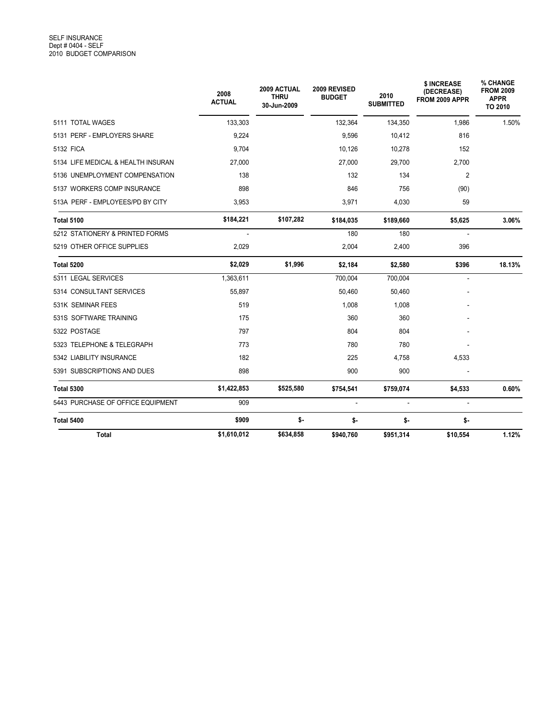|                                    | 2008<br><b>ACTUAL</b> | 2009 ACTUAL<br><b>THRU</b><br>30-Jun-2009 | 2009 REVISED<br><b>BUDGET</b> | 2010<br><b>SUBMITTED</b> | \$ INCREASE<br>(DECREASE)<br>FROM 2009 APPR | % CHANGE<br><b>FROM 2009</b><br><b>APPR</b><br>TO 2010 |
|------------------------------------|-----------------------|-------------------------------------------|-------------------------------|--------------------------|---------------------------------------------|--------------------------------------------------------|
| 5111 TOTAL WAGES                   | 133,303               |                                           | 132,364                       | 134,350                  | 1,986                                       | 1.50%                                                  |
| 5131 PERF - EMPLOYERS SHARE        | 9,224                 |                                           | 9,596                         | 10,412                   | 816                                         |                                                        |
| 5132 FICA                          | 9,704                 |                                           | 10,126                        | 10,278                   | 152                                         |                                                        |
| 5134 LIFE MEDICAL & HEALTH INSURAN | 27,000                |                                           | 27,000                        | 29,700                   | 2,700                                       |                                                        |
| 5136 UNEMPLOYMENT COMPENSATION     | 138                   |                                           | 132                           | 134                      | 2                                           |                                                        |
| 5137 WORKERS COMP INSURANCE        | 898                   |                                           | 846                           | 756                      | (90)                                        |                                                        |
| 513A PERF - EMPLOYEES/PD BY CITY   | 3,953                 |                                           | 3,971                         | 4,030                    | 59                                          |                                                        |
| <b>Total 5100</b>                  | \$184,221             | \$107,282                                 | \$184,035                     | \$189,660                | \$5,625                                     | 3.06%                                                  |
| 5212 STATIONERY & PRINTED FORMS    | ÷.                    |                                           | 180                           | 180                      | $\overline{a}$                              |                                                        |
| 5219 OTHER OFFICE SUPPLIES         | 2,029                 |                                           | 2,004                         | 2,400                    | 396                                         |                                                        |
| Total 5200                         | \$2,029               | \$1,996                                   | \$2,184                       | \$2,580                  | \$396                                       | 18.13%                                                 |
| 5311 LEGAL SERVICES                | 1,363,611             |                                           | 700,004                       | 700,004                  | ÷,                                          |                                                        |
| 5314 CONSULTANT SERVICES           | 55,897                |                                           | 50,460                        | 50,460                   |                                             |                                                        |
| 531K SEMINAR FEES                  | 519                   |                                           | 1,008                         | 1,008                    |                                             |                                                        |
| 531S SOFTWARE TRAINING             | 175                   |                                           | 360                           | 360                      |                                             |                                                        |
| 5322 POSTAGE                       | 797                   |                                           | 804                           | 804                      |                                             |                                                        |
| 5323 TELEPHONE & TELEGRAPH         | 773                   |                                           | 780                           | 780                      |                                             |                                                        |
| 5342 LIABILITY INSURANCE           | 182                   |                                           | 225                           | 4,758                    | 4,533                                       |                                                        |
| 5391 SUBSCRIPTIONS AND DUES        | 898                   |                                           | 900                           | 900                      |                                             |                                                        |
| <b>Total 5300</b>                  | \$1,422,853           | \$525,580                                 | \$754,541                     | \$759,074                | \$4,533                                     | 0.60%                                                  |
| 5443 PURCHASE OF OFFICE EQUIPMENT  | 909                   |                                           | $\overline{a}$                |                          | $\mathbf{r}$                                |                                                        |
| Total 5400                         | \$909                 | \$-                                       | \$-                           | \$-                      | \$-                                         |                                                        |
| <b>Total</b>                       | \$1,610,012           | \$634,858                                 | \$940,760                     | \$951,314                | \$10,554                                    | 1.12%                                                  |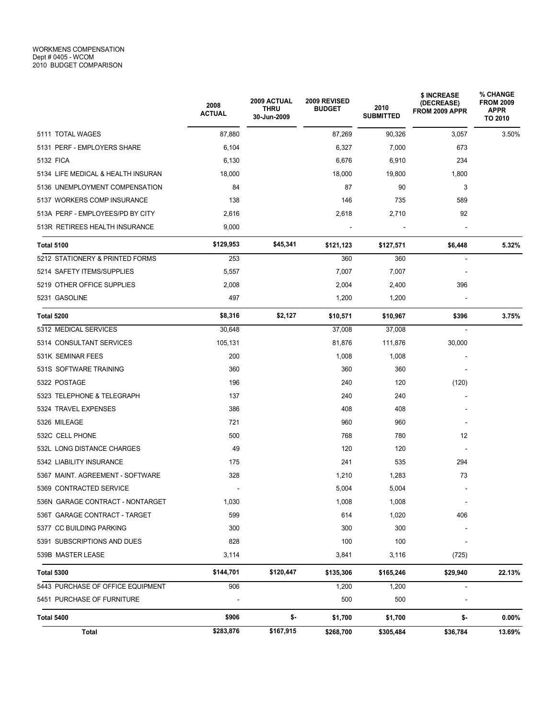|                                    | 2008<br><b>ACTUAL</b> | 2009 ACTUAL<br><b>THRU</b><br>30-Jun-2009 | 2009 REVISED<br><b>BUDGET</b> | 2010<br><b>SUBMITTED</b> | \$ INCREASE<br>(DECREASE)<br>FROM 2009 APPR | % CHANGE<br><b>FROM 2009</b><br><b>APPR</b><br>TO 2010 |
|------------------------------------|-----------------------|-------------------------------------------|-------------------------------|--------------------------|---------------------------------------------|--------------------------------------------------------|
| 5111 TOTAL WAGES                   | 87,880                |                                           | 87,269                        | 90,326                   | 3,057                                       | 3.50%                                                  |
| 5131 PERF - EMPLOYERS SHARE        | 6,104                 |                                           | 6,327                         | 7,000                    | 673                                         |                                                        |
| 5132 FICA                          | 6,130                 |                                           | 6,676                         | 6,910                    | 234                                         |                                                        |
| 5134 LIFE MEDICAL & HEALTH INSURAN | 18,000                |                                           | 18,000                        | 19,800                   | 1,800                                       |                                                        |
| 5136 UNEMPLOYMENT COMPENSATION     | 84                    |                                           | 87                            | 90                       | 3                                           |                                                        |
| 5137 WORKERS COMP INSURANCE        | 138                   |                                           | 146                           | 735                      | 589                                         |                                                        |
| 513A PERF - EMPLOYEES/PD BY CITY   | 2,616                 |                                           | 2,618                         | 2,710                    | 92                                          |                                                        |
| 513R RETIREES HEALTH INSURANCE     | 9,000                 |                                           |                               |                          |                                             |                                                        |
| <b>Total 5100</b>                  | \$129,953             | \$45,341                                  | \$121,123                     | \$127,571                | \$6,448                                     | 5.32%                                                  |
| 5212 STATIONERY & PRINTED FORMS    | 253                   |                                           | 360                           | 360                      |                                             |                                                        |
| 5214 SAFETY ITEMS/SUPPLIES         | 5,557                 |                                           | 7,007                         | 7,007                    |                                             |                                                        |
| 5219 OTHER OFFICE SUPPLIES         | 2,008                 |                                           | 2,004                         | 2,400                    | 396                                         |                                                        |
| 5231 GASOLINE                      | 497                   |                                           | 1,200                         | 1,200                    |                                             |                                                        |
| Total 5200                         | \$8,316               | \$2,127                                   | \$10,571                      | \$10,967                 | \$396                                       | 3.75%                                                  |
| 5312 MEDICAL SERVICES              | 30,648                |                                           | 37,008                        | 37,008                   | $\overline{\phantom{a}}$                    |                                                        |
| 5314 CONSULTANT SERVICES           | 105,131               |                                           | 81,876                        | 111,876                  | 30,000                                      |                                                        |
| 531K SEMINAR FEES                  | 200                   |                                           | 1,008                         | 1,008                    |                                             |                                                        |
| 531S SOFTWARE TRAINING             | 360                   |                                           | 360                           | 360                      |                                             |                                                        |
| 5322 POSTAGE                       | 196                   |                                           | 240                           | 120                      | (120)                                       |                                                        |
| 5323 TELEPHONE & TELEGRAPH         | 137                   |                                           | 240                           | 240                      |                                             |                                                        |
| 5324 TRAVEL EXPENSES               | 386                   |                                           | 408                           | 408                      |                                             |                                                        |
| 5326 MILEAGE                       | 721                   |                                           | 960                           | 960                      |                                             |                                                        |
| 532C CELL PHONE                    | 500                   |                                           | 768                           | 780                      | 12                                          |                                                        |
| 532L LONG DISTANCE CHARGES         | 49                    |                                           | 120                           | 120                      |                                             |                                                        |
| 5342 LIABILITY INSURANCE           | 175                   |                                           | 241                           | 535                      | 294                                         |                                                        |
| 5367 MAINT, AGREEMENT - SOFTWARE   | 328                   |                                           | 1,210                         | 1,283                    | 73                                          |                                                        |
| 5369 CONTRACTED SERVICE            |                       |                                           | 5,004                         | 5,004                    |                                             |                                                        |
| 536N GARAGE CONTRACT - NONTARGET   | 1,030                 |                                           | 1,008                         | 1,008                    | $\overline{\phantom{a}}$                    |                                                        |
| 536T GARAGE CONTRACT - TARGET      | 599                   |                                           | 614                           | 1,020                    | 406                                         |                                                        |
| 5377 CC BUILDING PARKING           | 300                   |                                           | 300                           | 300                      |                                             |                                                        |
| 5391 SUBSCRIPTIONS AND DUES        | 828                   |                                           | 100                           | 100                      |                                             |                                                        |
| 539B MASTER LEASE                  | 3,114                 |                                           | 3,841                         | 3,116                    | (725)                                       |                                                        |
| <b>Total 5300</b>                  | \$144,701             | \$120,447                                 | \$135,306                     | \$165,246                | \$29,940                                    | 22.13%                                                 |
| 5443 PURCHASE OF OFFICE EQUIPMENT  | 906                   |                                           | 1,200                         | 1,200                    | $\blacksquare$                              |                                                        |
| 5451 PURCHASE OF FURNITURE         |                       |                                           | 500                           | 500                      |                                             |                                                        |
| <b>Total 5400</b>                  | \$906                 | \$-                                       | \$1,700                       | \$1,700                  | \$-                                         | $0.00\%$                                               |
| Total                              | \$283,876             | \$167,915                                 | \$268,700                     | \$305,484                | \$36,784                                    | 13.69%                                                 |